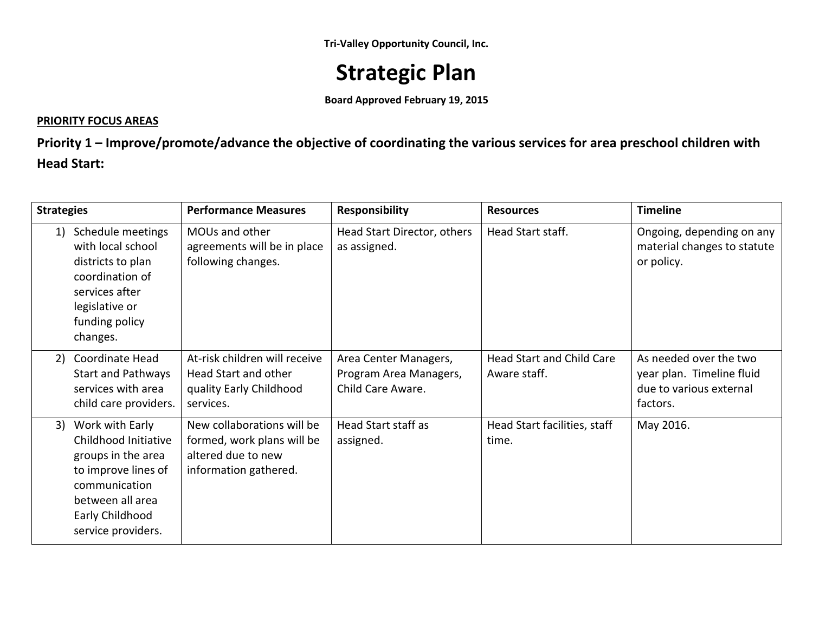**Tri-Valley Opportunity Council, Inc.** 

# **Strategic Plan**

**Board Approved February 19, 2015**

### **PRIORITY FOCUS AREAS**

**Priority 1 – Improve/promote/advance the objective of coordinating the various services for area preschool children with Head Start:**

| <b>Strategies</b>                                                                                                                                                        | <b>Performance Measures</b>                                                                             | <b>Responsibility</b>                                                | <b>Resources</b>                          | <b>Timeline</b>                                                                            |
|--------------------------------------------------------------------------------------------------------------------------------------------------------------------------|---------------------------------------------------------------------------------------------------------|----------------------------------------------------------------------|-------------------------------------------|--------------------------------------------------------------------------------------------|
| Schedule meetings<br>1)<br>with local school<br>districts to plan<br>coordination of<br>services after<br>legislative or<br>funding policy<br>changes.                   | MOUs and other<br>agreements will be in place<br>following changes.                                     | Head Start Director, others<br>as assigned.                          | Head Start staff.                         | Ongoing, depending on any<br>material changes to statute<br>or policy.                     |
| Coordinate Head<br>2)<br><b>Start and Pathways</b><br>services with area<br>child care providers.                                                                        | At-risk children will receive<br>Head Start and other<br>quality Early Childhood<br>services.           | Area Center Managers,<br>Program Area Managers,<br>Child Care Aware. | Head Start and Child Care<br>Aware staff. | As needed over the two<br>year plan. Timeline fluid<br>due to various external<br>factors. |
| Work with Early<br>3)<br>Childhood Initiative<br>groups in the area<br>to improve lines of<br>communication<br>between all area<br>Early Childhood<br>service providers. | New collaborations will be<br>formed, work plans will be<br>altered due to new<br>information gathered. | Head Start staff as<br>assigned.                                     | Head Start facilities, staff<br>time.     | May 2016.                                                                                  |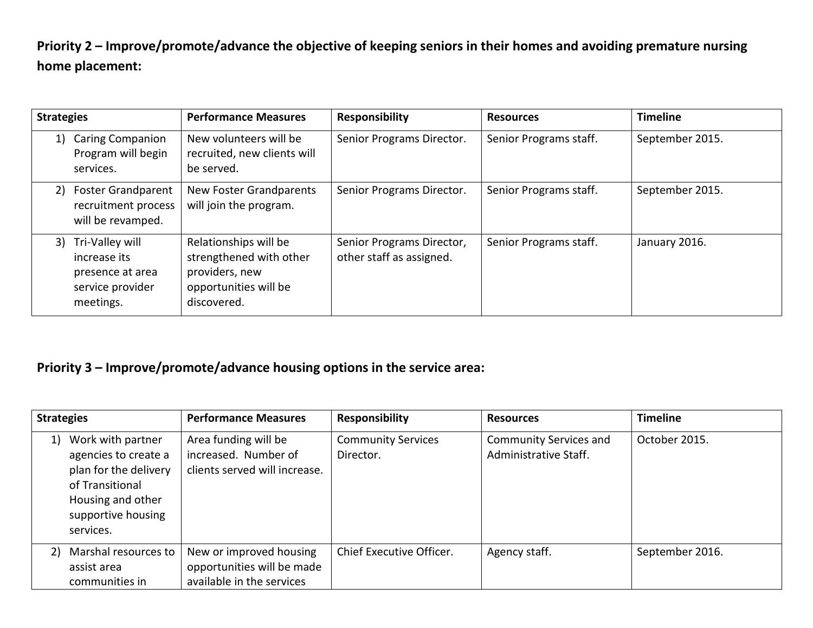**Priority 2 – Improve/promote/advance the objective of keeping seniors in their homes and avoiding premature nursing home placement:**

| <b>Strategies</b>                                                                       | <b>Performance Measures</b>                                                                                | <b>Responsibility</b>                                 | <b>Resources</b>       | <b>Timeline</b> |
|-----------------------------------------------------------------------------------------|------------------------------------------------------------------------------------------------------------|-------------------------------------------------------|------------------------|-----------------|
| <b>Caring Companion</b><br>1)<br>Program will begin<br>services.                        | New volunteers will be<br>recruited, new clients will<br>be served.                                        | Senior Programs Director.                             | Senior Programs staff. | September 2015. |
| <b>Foster Grandparent</b><br>2)<br>recruitment process<br>will be revamped.             | <b>New Foster Grandparents</b><br>will join the program.                                                   | Senior Programs Director.                             | Senior Programs staff. | September 2015. |
| 3) Tri-Valley will<br>increase its<br>presence at area<br>service provider<br>meetings. | Relationships will be<br>strengthened with other<br>providers, new<br>opportunities will be<br>discovered. | Senior Programs Director,<br>other staff as assigned. | Senior Programs staff. | January 2016.   |

### **Priority 3 – Improve/promote/advance housing options in the service area:**

| <b>Strategies</b>                                                                                                                                   | <b>Performance Measures</b>                                                        | <b>Responsibility</b>                  | <b>Resources</b>                                       | <b>Timeline</b> |
|-----------------------------------------------------------------------------------------------------------------------------------------------------|------------------------------------------------------------------------------------|----------------------------------------|--------------------------------------------------------|-----------------|
| Work with partner<br>1)<br>agencies to create a<br>plan for the delivery<br>of Transitional<br>Housing and other<br>supportive housing<br>services. | Area funding will be<br>increased. Number of<br>clients served will increase.      | <b>Community Services</b><br>Director. | <b>Community Services and</b><br>Administrative Staff. | October 2015.   |
| Marshal resources to<br>2)<br>assist area<br>communities in                                                                                         | New or improved housing<br>opportunities will be made<br>available in the services | Chief Executive Officer.               | Agency staff.                                          | September 2016. |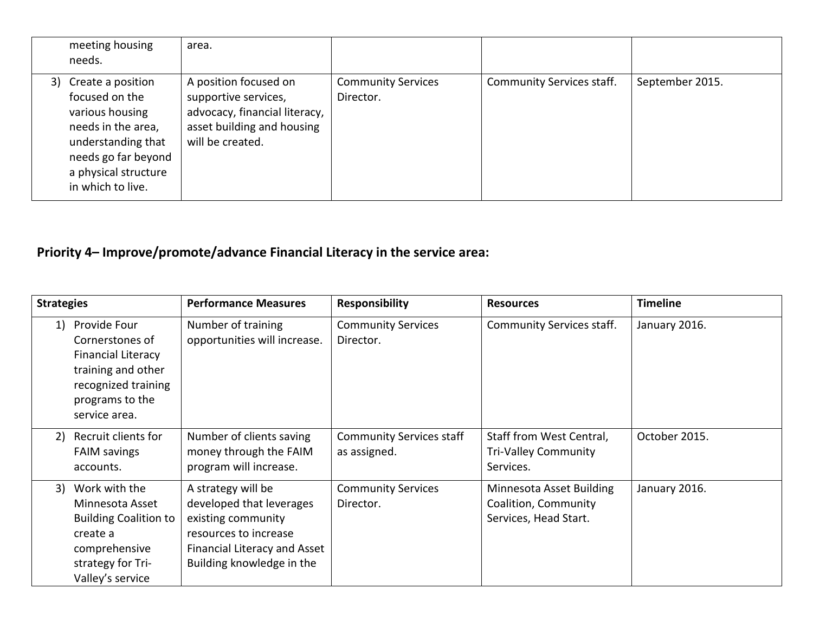| meeting housing<br>needs.                                                                                                                                                 | area.                                                                                                                            |                                        |                           |                 |
|---------------------------------------------------------------------------------------------------------------------------------------------------------------------------|----------------------------------------------------------------------------------------------------------------------------------|----------------------------------------|---------------------------|-----------------|
| 3) Create a position<br>focused on the<br>various housing<br>needs in the area,<br>understanding that<br>needs go far beyond<br>a physical structure<br>in which to live. | A position focused on<br>supportive services,<br>advocacy, financial literacy,<br>asset building and housing<br>will be created. | <b>Community Services</b><br>Director. | Community Services staff. | September 2015. |

## **Priority 4– Improve/promote/advance Financial Literacy in the service area:**

| <b>Strategies</b> |                                                                                                                                               | <b>Performance Measures</b>                                                                                                                                | <b>Responsibility</b>                           | <b>Resources</b>                                                          | <b>Timeline</b> |
|-------------------|-----------------------------------------------------------------------------------------------------------------------------------------------|------------------------------------------------------------------------------------------------------------------------------------------------------------|-------------------------------------------------|---------------------------------------------------------------------------|-----------------|
| 1)                | Provide Four<br>Cornerstones of<br><b>Financial Literacy</b><br>training and other<br>recognized training<br>programs to the<br>service area. | Number of training<br>opportunities will increase.                                                                                                         | <b>Community Services</b><br>Director.          | Community Services staff.                                                 | January 2016.   |
| 2)                | Recruit clients for<br><b>FAIM savings</b><br>accounts.                                                                                       | Number of clients saving<br>money through the FAIM<br>program will increase.                                                                               | <b>Community Services staff</b><br>as assigned. | Staff from West Central,<br><b>Tri-Valley Community</b><br>Services.      | October 2015.   |
| 3)                | Work with the<br>Minnesota Asset<br><b>Building Coalition to</b><br>create a<br>comprehensive<br>strategy for Tri-<br>Valley's service        | A strategy will be<br>developed that leverages<br>existing community<br>resources to increase<br>Financial Literacy and Asset<br>Building knowledge in the | <b>Community Services</b><br>Director.          | Minnesota Asset Building<br>Coalition, Community<br>Services, Head Start. | January 2016.   |